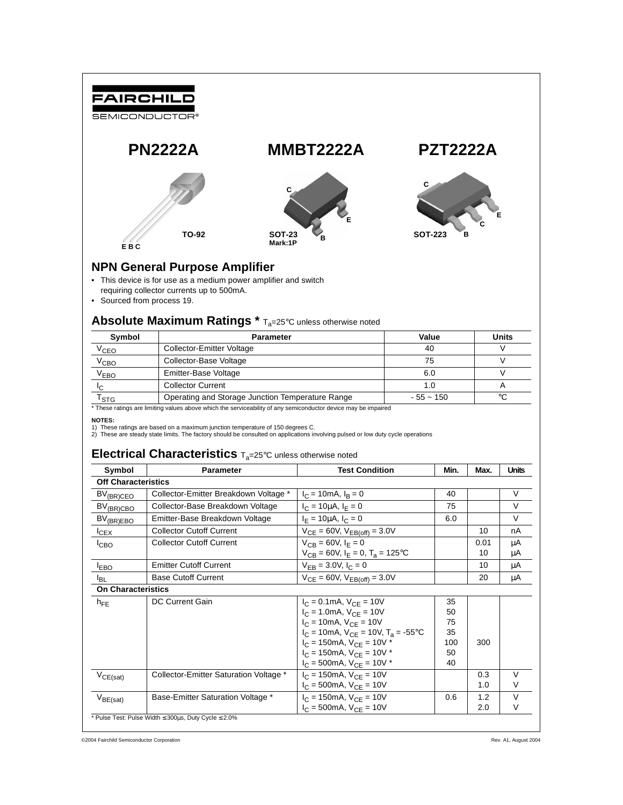

- This device is for use as a medium power amplifier and switch
- requiring collector currents up to 500mA.
- Sourced from process 19.

## Absolute Maximum Ratings \* T<sub>a</sub>=25°C unless otherwise noted

| Symbol           | <b>Parameter</b>                                 | Value       | Units   |
|------------------|--------------------------------------------------|-------------|---------|
| V <sub>СЕО</sub> | Collector-Emitter Voltage                        | 40          |         |
| V <sub>CBO</sub> | Collector-Base Voltage                           | 75          |         |
| V <sub>EBO</sub> | Emitter-Base Voltage                             | 6.0         |         |
|                  | <b>Collector Current</b>                         |             |         |
| 'STG             | Operating and Storage Junction Temperature Range | $-55 - 150$ | $\circ$ |

\* These ratings are limiting values above which the serviceability of any semiconductor device may be impaired

#### **NOTES:**

1) These ratings are based on a maximum junction temperature of 150 degrees C.

2) These are steady state limits. The factory should be consulted on applications involving pulsed or low duty cycle operations

### **Electrical Characteristics**  $T_a=25^\circ$ C unless otherwise noted

| Symbol                     | Parameter                                                      | <b>Test Condition</b>                                                        | Min. | Max.       | <b>Units</b> |
|----------------------------|----------------------------------------------------------------|------------------------------------------------------------------------------|------|------------|--------------|
| <b>Off Characteristics</b> |                                                                |                                                                              |      |            |              |
| $BV_{(BR)CEO}$             | Collector-Emitter Breakdown Voltage *                          | $I_C = 10 \text{mA}, I_R = 0$                                                | 40   |            | V            |
| $BV_{(BR)CBO}$             | Collector-Base Breakdown Voltage                               | $I_C = 10 \mu A$ , $I_F = 0$                                                 | 75   |            | $\vee$       |
| $BV_{(BR)EBO}$             | Emitter-Base Breakdown Voltage                                 | $I_F = 10 \mu A$ , $I_C = 0$                                                 | 6.0  |            | $\vee$       |
| $I_{CEX}$                  | <b>Collector Cutoff Current</b>                                | $V_{CE} = 60V$ , $V_{EB(off)} = 3.0V$                                        |      | 10         | nA           |
| I <sub>CBO</sub>           | <b>Collector Cutoff Current</b>                                | $V_{CR} = 60V, I_F = 0$<br>$V_{CB} = 60V$ , $I_E = 0$ , $T_a = 125$ °C       |      | 0.01<br>10 | μA<br>μA     |
| <b>EBO</b>                 | <b>Emitter Cutoff Current</b>                                  | $V_{FR} = 3.0 V, I_C = 0$                                                    |      | 10         | μA           |
| <b>I</b> BL                | <b>Base Cutoff Current</b>                                     | $V_{CE} = 60V$ , $V_{EB(off)} = 3.0V$                                        |      | 20         | μA           |
| <b>On Characteristics</b>  |                                                                |                                                                              |      |            |              |
| $h_{FF}$                   | <b>DC Current Gain</b>                                         | $I_C = 0.1$ mA, $V_{CE} = 10V$                                               | 35   |            |              |
|                            |                                                                | $I_C = 1.0 \text{mA}$ , $V_{CF} = 10V$                                       | 50   |            |              |
|                            |                                                                | $I_C = 10 \text{mA}$ , $V_{CF} = 10V$                                        | 75   |            |              |
|                            |                                                                | $I_C = 10 \text{mA}$ , $V_{CF} = 10 \text{V}$ , $T_a = -55 \degree \text{C}$ | 35   |            |              |
|                            |                                                                | $I_C = 150 \text{mA}$ , $V_{CF} = 10V$ *                                     | 100  | 300        |              |
|                            |                                                                | $I_C = 150 \text{mA}$ , $V_{CF} = 10V$ *                                     | 50   |            |              |
|                            |                                                                | $I_C = 500 \text{mA}, V_{CE} = 10V$ *                                        | 40   |            |              |
| $V_{CE(sat)}$              | Collector-Emitter Saturation Voltage *                         | $I_C = 150 \text{mA}$ , $V_{CF} = 10V$                                       |      | 0.3        | $\vee$       |
|                            |                                                                | $I_C = 500 \text{mA}$ , $V_{CF} = 10V$                                       |      | 1.0        | V            |
| $V_{BE(sat)}$              | Base-Emitter Saturation Voltage *                              | $I_C = 150 \text{mA}$ , $V_{CF} = 10V$                                       | 0.6  | 1.2        | $\vee$       |
|                            |                                                                | $I_C = 500 \text{mA}$ , $V_{CF} = 10V$                                       |      | 2.0        | V            |
|                            | * Pulse Test: Pulse Width $\leq$ 300us, Duty Cycle $\leq$ 2.0% |                                                                              |      |            |              |

©2004 Fairchild Semiconductor Corporation Rev. A1, August 2004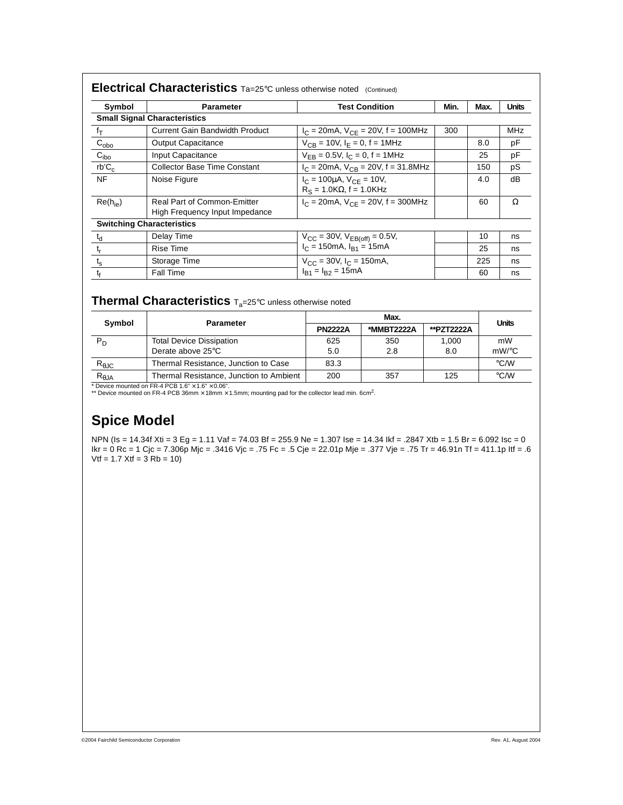| Symbol                | Parameter                                                            | <b>Test Condition</b>                                                    | Min. | Max. | <b>Units</b> |
|-----------------------|----------------------------------------------------------------------|--------------------------------------------------------------------------|------|------|--------------|
|                       | <b>Small Signal Characteristics</b>                                  |                                                                          |      |      |              |
| $f_T$                 | <b>Current Gain Bandwidth Product</b>                                | $I_C = 20mA$ , $V_{CE} = 20V$ , f = 100MHz                               | 300  |      | <b>MHz</b>   |
| $C_{\underline{obo}}$ | Output Capacitance                                                   | $V_{CR}$ = 10V, $I_F$ = 0, f = 1MHz                                      |      | 8.0  | pF           |
| $C_{\text{ibo}}$      | Input Capacitance                                                    | $V_{FB} = 0.5V$ , $I_C = 0$ , $f = 1MHz$                                 |      | 25   | pF           |
| $rb'C_c$              | Collector Base Time Constant                                         | $I_C = 20 \text{mA}, V_{CB} = 20 \text{V}, f = 31.8 \text{MHz}$          |      | 150  | pS           |
| <b>NF</b>             | Noise Figure                                                         | $I_C = 100 \mu A$ , $V_{CF} = 10 V$ ,<br>$R_S = 1.0K\Omega$ , f = 1.0KHz |      | 4.0  | dB           |
| $Re(h_{ie})$          | <b>Real Part of Common-Emitter</b><br>High Frequency Input Impedance | $I_C = 20 \text{mA}$ , $V_{CF} = 20 \text{V}$ , f = 300MHz               |      | 60   | Ω            |
|                       | <b>Switching Characteristics</b>                                     |                                                                          |      |      |              |
| $t_d$                 | Delay Time                                                           | $V_{CC}$ = 30V, $V_{EB(off)}$ = 0.5V,                                    |      | 10   | ns           |
| $t_{\rm r}$           | <b>Rise Time</b>                                                     | $I_C = 150 \text{mA}, I_{B1} = 15 \text{mA}$                             |      | 25   | ns           |
| $t_{\rm s}$           | Storage Time                                                         | $V_{CC}$ = 30V, $I_C$ = 150mA,                                           |      | 225  | ns           |
| $t_{\rm f}$           | <b>Fall Time</b>                                                     | $I_{B1} = I_{B2} = 15mA$                                                 |      | 60   | ns           |

## **Thermal Characteristics** Ta=25°C unless otherwise noted

|                | <b>Parameter</b>                        | Max.           |            |            | <b>Units</b>       |  |
|----------------|-----------------------------------------|----------------|------------|------------|--------------------|--|
| Symbol         |                                         | <b>PN2222A</b> | *MMBT2222A | **PZT2222A |                    |  |
| $P_D$          | <b>Total Device Dissipation</b>         | 625            | 350        | 1.000      | mW                 |  |
|                | Derate above 25°C                       | 5.0            | 2.8        | 8.0        | $mW$ /°C           |  |
| $R_{\theta$ JC | Thermal Resistance, Junction to Case    | 83.3           |            |            | $\rm ^{\circ}$ C/W |  |
| $R_{\theta$ JA | Thermal Resistance, Junction to Ambient | 200            | 357        | 125        | $\rm ^{\circ}$ C/W |  |

\* Device mounted on FR-4 PCB 1.6" × 1.6" × 0.06".<br>\*\* Device mounted on FR-4 PCB 36mm × 18mm × 1.5mm; mounting pad for the collector lead min. 6cm<sup>2</sup>.

# **Spice Model**

NPN (Is = 14.34f Xti = 3 Eg = 1.11 Vaf = 74.03 Bf = 255.9 Ne = 1.307 Ise = 14.34 Ikf = .2847 Xtb = 1.5 Br = 6.092 Isc = 0 Ikr = 0 Rc = 1 Cjc = 7.306p Mjc = .3416 Vjc = .75 Fc = .5 Cje = 22.01p Mje = .377 Vje = .75 Tr = 46.91n Tf = 411.1p Itf = .6  $Vtf = 1.7$  Xtf =  $3$  Rb = 10)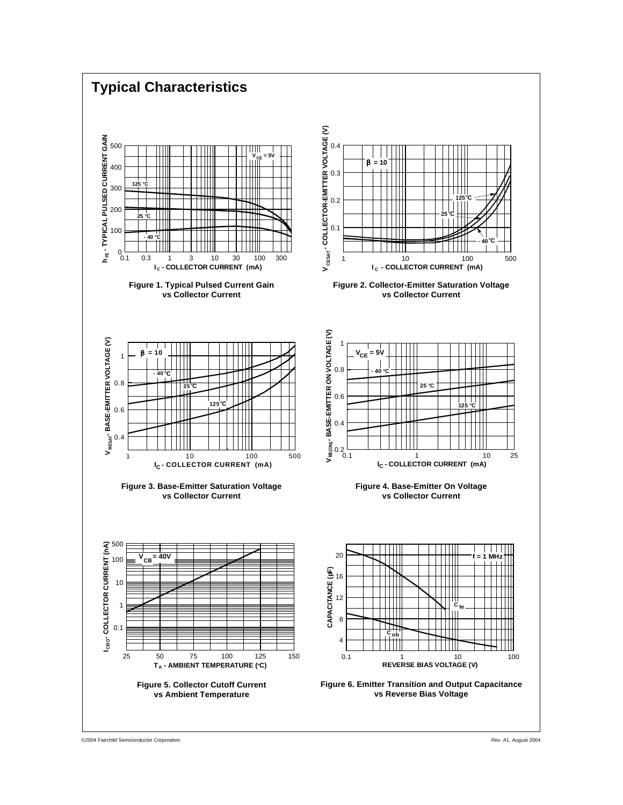

©2004 Fairchild Semiconductor Corporation Rev. A1, August 2004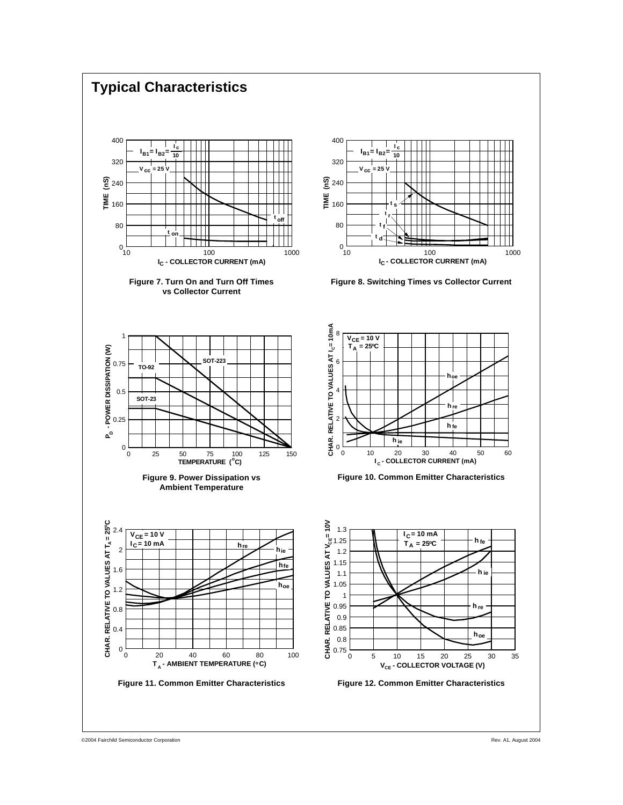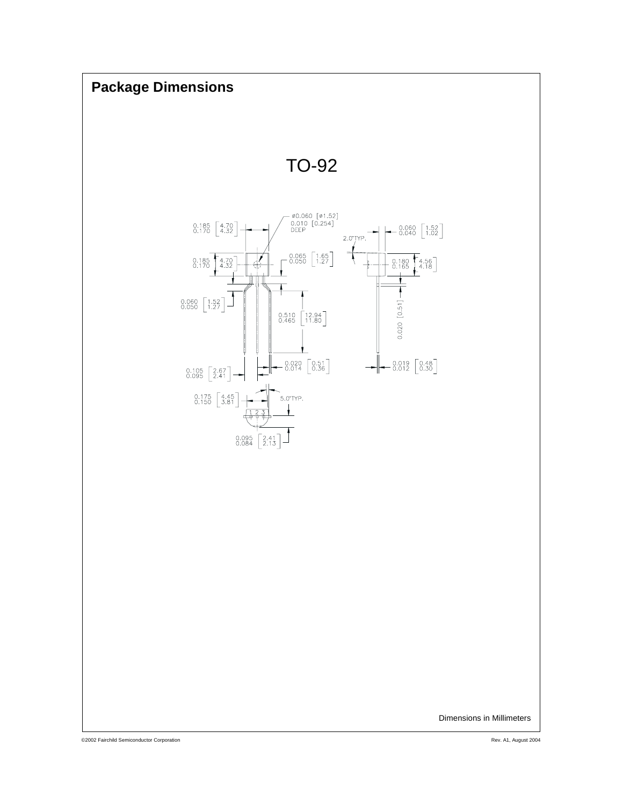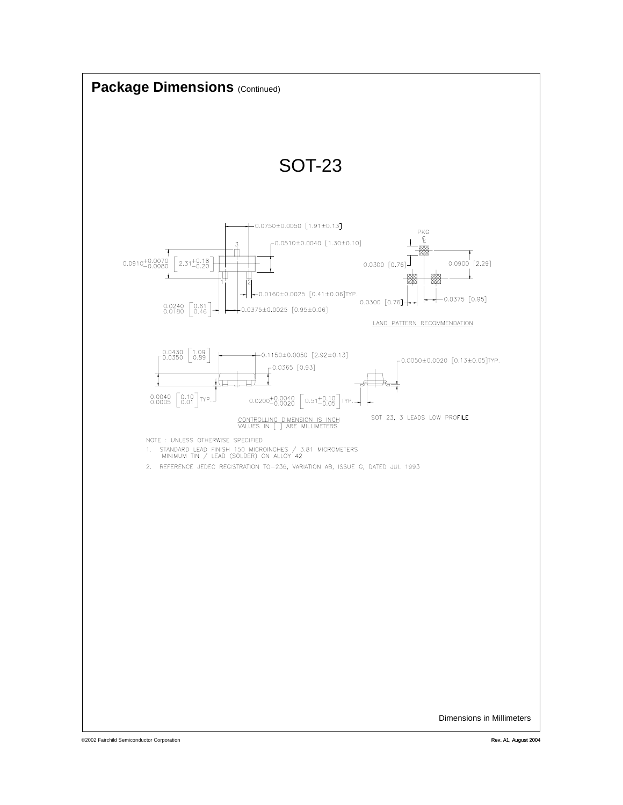

©2002 Fairchild Semiconductor Corporation Rev. A1, August 2004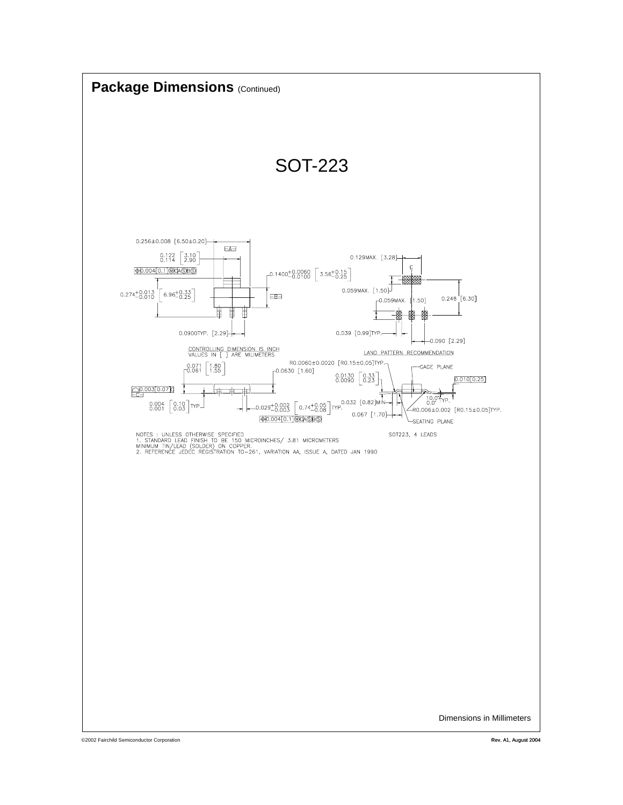

©2002 Fairchild Semiconductor Corporation Rev. A1, August 2004